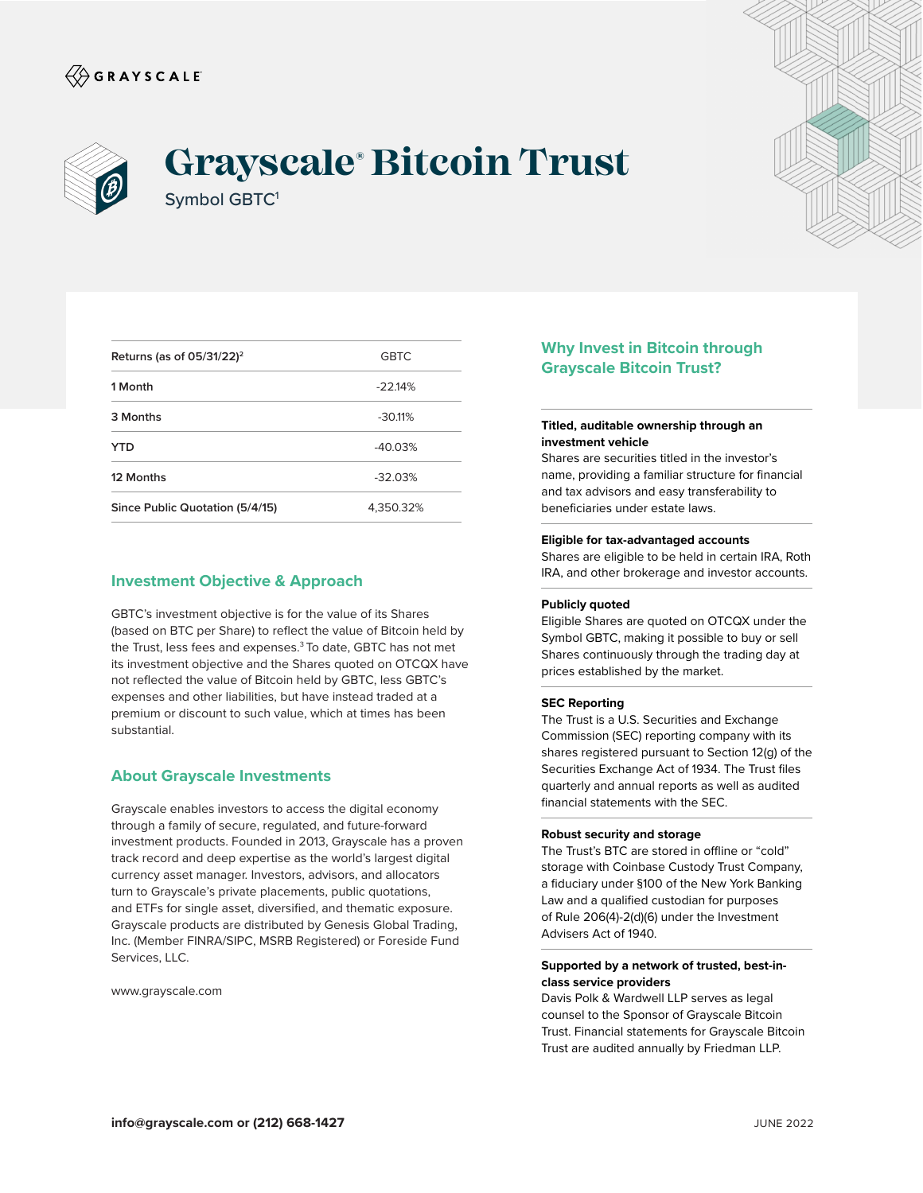



# **Grayscale® Bitcoin Trust** Symbol GBTC1



| Returns (as of $05/31/22$ ) <sup>2</sup> | <b>GBTC</b> |
|------------------------------------------|-------------|
| 1 Month                                  | $-22.14%$   |
| 3 Months                                 | $-30.11%$   |
| YTD                                      | $-40.03%$   |
| 12 Months                                | $-32.03%$   |
| Since Public Quotation (5/4/15)          | 4,350.32%   |

## **Investment Objective & Approach**

GBTC's investment objective is for the value of its Shares (based on BTC per Share) to reflect the value of Bitcoin held by the Trust, less fees and expenses.<sup>3</sup> To date, GBTC has not met its investment objective and the Shares quoted on OTCQX have not reflected the value of Bitcoin held by GBTC, less GBTC's expenses and other liabilities, but have instead traded at a premium or discount to such value, which at times has been substantial.

### **About Grayscale Investments**

Grayscale enables investors to access the digital economy through a family of secure, regulated, and future-forward investment products. Founded in 2013, Grayscale has a proven track record and deep expertise as the world's largest digital currency asset manager. Investors, advisors, and allocators turn to Grayscale's private placements, public quotations, and ETFs for single asset, diversified, and thematic exposure. Grayscale products are distributed by Genesis Global Trading, Inc. (Member FINRA/SIPC, MSRB Registered) or Foreside Fund Services, LLC.

www.grayscale.com

## **Why Invest in Bitcoin through Grayscale Bitcoin Trust?**

#### **Titled, auditable ownership through an investment vehicle**

Shares are securities titled in the investor's name, providing a familiar structure for financial and tax advisors and easy transferability to beneficiaries under estate laws.

#### **Eligible for tax-advantaged accounts**

Shares are eligible to be held in certain IRA, Roth IRA, and other brokerage and investor accounts.

#### **Publicly quoted**

Eligible Shares are quoted on OTCQX under the Symbol GBTC, making it possible to buy or sell Shares continuously through the trading day at prices established by the market.

#### **SEC Reporting**

The Trust is a U.S. Securities and Exchange Commission (SEC) reporting company with its shares registered pursuant to Section 12(g) of the Securities Exchange Act of 1934. The Trust files quarterly and annual reports as well as audited financial statements with the SEC.

#### **Robust security and storage**

The Trust's BTC are stored in offline or "cold" storage with Coinbase Custody Trust Company, a fiduciary under §100 of the New York Banking Law and a qualified custodian for purposes of Rule 206(4)-2(d)(6) under the Investment Advisers Act of 1940.

#### **Supported by a network of trusted, best-inclass service providers**

Davis Polk & Wardwell LLP serves as legal counsel to the Sponsor of Grayscale Bitcoin Trust. Financial statements for Grayscale Bitcoin Trust are audited annually by Friedman LLP.